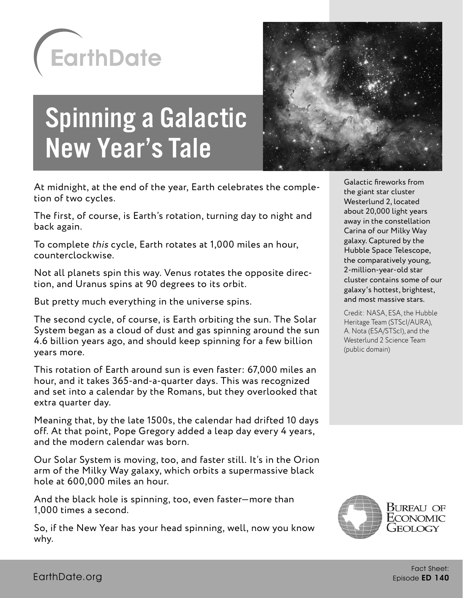

# Spinning a Galactic New Year's Tale



The first, of course, is Earth's rotation, turning day to night and back again.

To complete this cycle, Earth rotates at 1,000 miles an hour, counterclockwise.

Not all planets spin this way. Venus rotates the opposite direction, and Uranus spins at 90 degrees to its orbit.

But pretty much everything in the universe spins.

The second cycle, of course, is Earth orbiting the sun. The Solar System began as a cloud of dust and gas spinning around the sun 4.6 billion years ago, and should keep spinning for a few billion years more.

This rotation of Earth around sun is even faster: 67,000 miles an hour, and it takes 365-and-a-quarter days. This was recognized and set into a calendar by the Romans, but they overlooked that extra quarter day.

Meaning that, by the late 1500s, the calendar had drifted 10 days off. At that point, Pope Gregory added a leap day every 4 years, and the modern calendar was born.

Our Solar System is moving, too, and faster still. It's in the Orion arm of the Milky Way galaxy, which orbits a supermassive black hole at 600,000 miles an hour.

And the black hole is spinning, too, even faster—more than 1,000 times a second.

So, if the New Year has your head spinning, well, now you know why.



Galactic fireworks from the giant star cluster Westerlund 2, located about 20,000 light years away in the constellation Carina of our Milky Way galaxy. Captured by the Hubble Space Telescope, the comparatively young, 2-million-year-old star cluster contains some of our galaxy's hottest, brightest, and most massive stars.

Credit: NASA, ESA, the Hubble Heritage Team (STScI/AURA), A. Nota (ESA/STScI), and the Westerlund 2 Science Team (public domain)